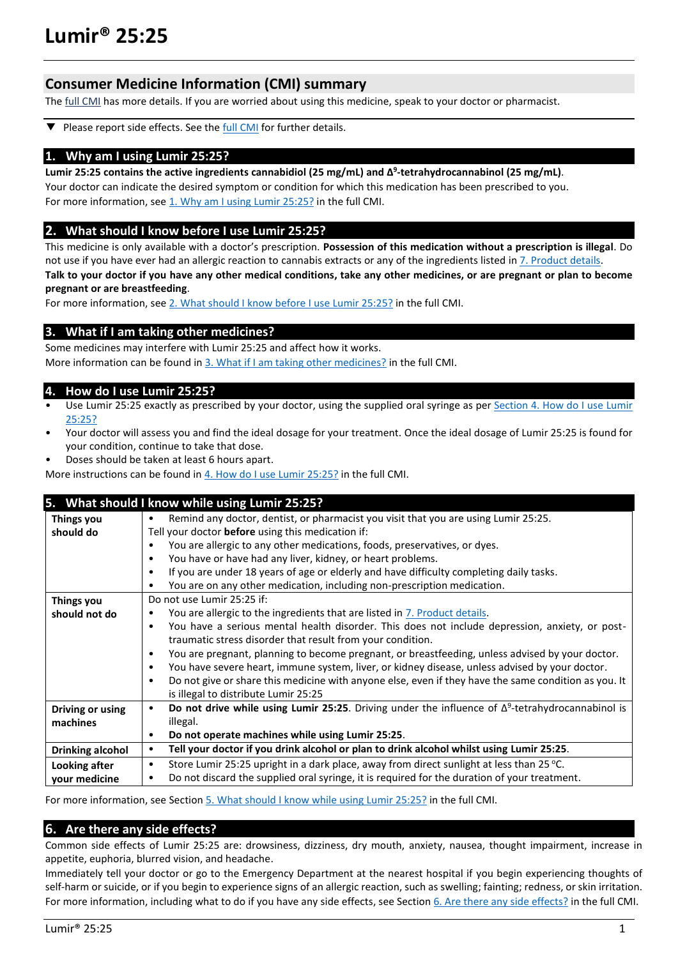# **Consumer Medicine Information (CMI) summary**

The [full CMI](#page-1-0) has more details. If you are worried about using this medicine, speak to your doctor or pharmacist.

Please report side effects. See the **full CMI** for further details. ▼

### **1. Why am I using Lumir 25:25?**

#### **Lumir 25:25 contains the active ingredients cannabidiol (25 mg/mL) and Δ 9 -tetrahydrocannabinol (25 mg/mL)**.

Your doctor can indicate the desired symptom or condition for which this medication has been prescribed to you. For more information, see 1. Why am I using Lumir 25:25? in the full CMI.

### **2. What should I know before I use Lumir 25:25?**

This medicine is only available with a doctor's prescription. **Possession of this medication without a prescription is illegal**. Do not use if you have ever had an allergic reaction to cannabis extracts or any of the ingredients listed i[n 7. Product details.](#page-4-0) **Talk to your doctor if you have any other medical conditions, take any other medicines, or are pregnant or plan to become** 

**pregnant or are breastfeeding**.

For more information, see [2. What should I know before I use](#page-1-2) Lumir 25:25? in the full CMI.

## **3. What if I am taking other medicines?**

Some medicines may interfere with Lumir 25:25 and affect how it works. More information can be found in [3. What if I am taking other medicines?](#page-2-0) in the full CMI.

## **4. How do I use Lumir 25:25?**

- Use Lumir 25:25 exactly as prescribed by your doctor, using the supplied oral syringe as per Section 4. How do I use Lumir [25:25?](#page-2-1)
- Your doctor will assess you and find the ideal dosage for your treatment. Once the ideal dosage of Lumir 25:25 is found for your condition, continue to take that dose.
- Doses should be taken at least 6 hours apart.
- More instructions can be found i[n 4. How do I use Lumir 25:25?](#page-2-1) in the full CMI.

|                         | 5. What should I know while using Lumir 25:25?                                                                        |  |  |
|-------------------------|-----------------------------------------------------------------------------------------------------------------------|--|--|
| Things you              | Remind any doctor, dentist, or pharmacist you visit that you are using Lumir 25:25.<br>$\bullet$                      |  |  |
| should do               | Tell your doctor before using this medication if:                                                                     |  |  |
|                         | You are allergic to any other medications, foods, preservatives, or dyes.                                             |  |  |
|                         | You have or have had any liver, kidney, or heart problems.<br>$\bullet$                                               |  |  |
|                         | If you are under 18 years of age or elderly and have difficulty completing daily tasks.<br>$\bullet$                  |  |  |
|                         | You are on any other medication, including non-prescription medication.<br>$\bullet$                                  |  |  |
| Things you              | Do not use Lumir 25:25 if:                                                                                            |  |  |
| should not do           | You are allergic to the ingredients that are listed in 7. Product details.<br>٠                                       |  |  |
|                         | You have a serious mental health disorder. This does not include depression, anxiety, or post-<br>$\bullet$           |  |  |
|                         | traumatic stress disorder that result from your condition.                                                            |  |  |
|                         | You are pregnant, planning to become pregnant, or breastfeeding, unless advised by your doctor.<br>$\bullet$          |  |  |
|                         | You have severe heart, immune system, liver, or kidney disease, unless advised by your doctor.<br>$\bullet$           |  |  |
|                         | Do not give or share this medicine with anyone else, even if they have the same condition as you. It<br>$\bullet$     |  |  |
|                         | is illegal to distribute Lumir 25:25                                                                                  |  |  |
| Driving or using        | Do not drive while using Lumir 25:25. Driving under the influence of $\Delta^9$ -tetrahydrocannabinol is<br>$\bullet$ |  |  |
| machines                | illegal.                                                                                                              |  |  |
|                         | Do not operate machines while using Lumir 25:25.<br>$\bullet$                                                         |  |  |
| <b>Drinking alcohol</b> | Tell your doctor if you drink alcohol or plan to drink alcohol whilst using Lumir 25:25.<br>$\bullet$                 |  |  |
| Looking after           | Store Lumir 25:25 upright in a dark place, away from direct sunlight at less than 25 °C.<br>$\bullet$                 |  |  |
| your medicine           | Do not discard the supplied oral syringe, it is required for the duration of your treatment.<br>٠                     |  |  |

For more information, see Section [5. What should I know while using Lumir 25:25?](#page-3-0) in the full CMI.

## **6. Are there any side effects?**

Common side effects of Lumir 25:25 are: drowsiness, dizziness, dry mouth, anxiety, nausea, thought impairment, increase in appetite, euphoria, blurred vision, and headache.

Immediately tell your doctor or go to the Emergency Department at the nearest hospital if you begin experiencing thoughts of self-harm or suicide, or if you begin to experience signs of an allergic reaction, such as swelling; fainting; redness, or skin irritation. For more information, including what to do if you have any side effects, see Section [6. Are there any side effects?](#page-3-1) in the full CMI.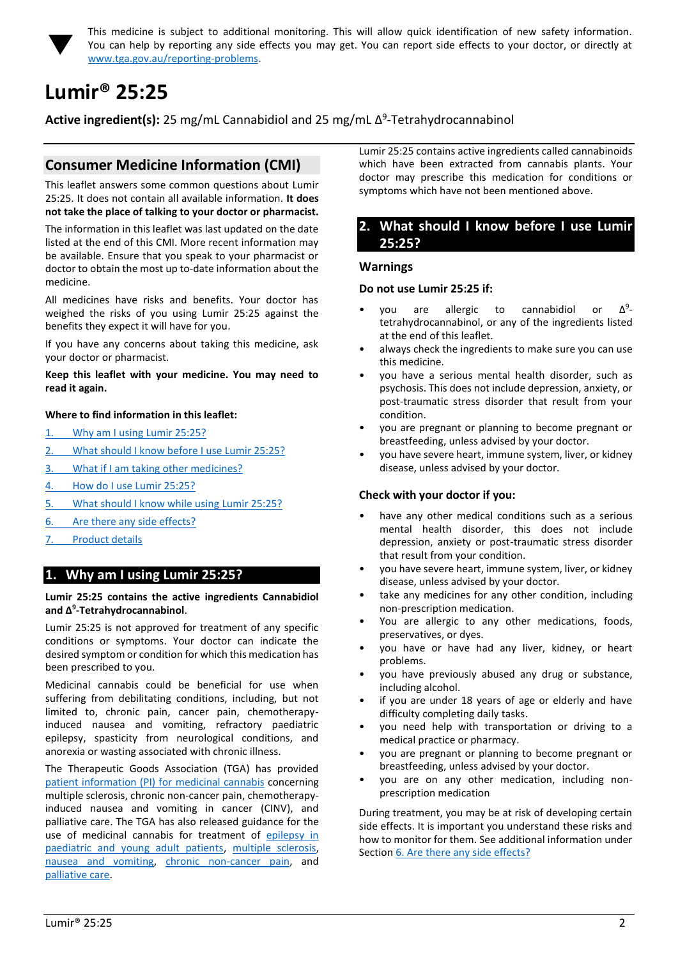

<span id="page-1-0"></span>This medicine is subject to additional monitoring. This will allow quick identification of new safety information. You can help by reporting any side effects you may get. You can report side effects to your doctor, or directly at [www.tga.gov.au/reporting-problems.](http://www.tga.gov.au/reporting-problems)

# <span id="page-1-1"></span>**Lumir® 25:25**

**Active ingredient(s):** 25 mg/mL Cannabidiol and 25 mg/mL Δ<sup>9</sup>-Tetrahydrocannabinol

# **Consumer Medicine Information (CMI)**

This leaflet answers some common questions about Lumir 25:25. It does not contain all available information. **It does not take the place of talking to your doctor or pharmacist.**

The information in this leaflet was last updated on the date listed at the end of this CMI. More recent information may be available. Ensure that you speak to your pharmacist or doctor to obtain the most up to-date information about the medicine.

All medicines have risks and benefits. Your doctor has weighed the risks of you using Lumir 25:25 against the benefits they expect it will have for you.

If you have any concerns about taking this medicine, ask your doctor or pharmacist.

#### **Keep this leaflet with your medicine. You may need to read it again.**

### **Where to find information in this leaflet:**

- 1. [Why am I using Lumir 25:25?](#page-1-3)
- 2. [What should I know before I use Lumir 25:25?](#page-1-2)
- 3. [What if I am taking other medicines?](#page-2-0)
- 4. [How do I use Lumir 25:25?](#page-2-1)
- 5. [What should I know while using Lumir 25:25?](#page-3-0)
- 6. Are [there any side effects?](#page-3-1)
- <span id="page-1-3"></span>7. [Product details](#page-4-0)

# **1. Why am I using Lumir 25:25?**

#### **Lumir 25:25 contains the active ingredients Cannabidiol and Δ<sup>9</sup> -Tetrahydrocannabinol**.

Lumir 25:25 is not approved for treatment of any specific conditions or symptoms. Your doctor can indicate the desired symptom or condition for which this medication has been prescribed to you.

Medicinal cannabis could be beneficial for use when suffering from debilitating conditions, including, but not limited to, chronic pain, cancer pain, chemotherapyinduced nausea and vomiting, refractory paediatric epilepsy, spasticity from neurological conditions, and anorexia or wasting associated with chronic illness.

The Therapeutic Goods Association (TGA) has provided [patient information \(PI\) for medicinal cannabis](https://www.tga.gov.au/community-qa/medicinal-cannabis-products-patient-information) concerning multiple sclerosis, chronic non-cancer pain, chemotherapyinduced nausea and vomiting in cancer (CINV), and palliative care. The TGA has also released guidance for the use of medicinal cannabis for treatment of [epilepsy in](https://www.tga.gov.au/publication/guidance-use-medicinal-cannabis-treatment-epilepsy-paediatric-and-young-adult-patients-australia)  [paediatric and young adult patients,](https://www.tga.gov.au/publication/guidance-use-medicinal-cannabis-treatment-epilepsy-paediatric-and-young-adult-patients-australia) [multiple sclerosis,](https://www.tga.gov.au/publication/guidance-use-medicinal-cannabis-treatment-multiple-sclerosis-australia) [nausea and vomiting,](https://www.tga.gov.au/publication/guidance-use-medicinal-cannabis-prevention-or-management-nausea-and-vomiting-australia) [chronic non-cancer pain,](https://www.tga.gov.au/publication/guidance-use-medicinal-cannabis-treatment-chronic-non-cancer-pain-australia) and [palliative care.](https://www.tga.gov.au/publication/guidance-use-medicinal-cannabis-treatment-palliative-care-patients-australia)

Lumir 25:25 contains active ingredients called cannabinoids which have been extracted from cannabis plants. Your doctor may prescribe this medication for conditions or symptoms which have not been mentioned above.

## <span id="page-1-2"></span>**2. What should I know before I use Lumir 25:25?**

#### **Warnings**

#### **Do not use Lumir 25:25 if:**

- vou are allergic to cannabidiol or  $\Delta^9$ tetrahydrocannabinol, or any of the ingredients listed at the end of this leaflet.
- always check the ingredients to make sure you can use this medicine.
- you have a serious mental health disorder, such as psychosis. This does not include depression, anxiety, or post-traumatic stress disorder that result from your condition.
- you are pregnant or planning to become pregnant or breastfeeding, unless advised by your doctor.
- you have severe heart, immune system, liver, or kidney disease, unless advised by your doctor.

### **Check with your doctor if you:**

- have any other medical conditions such as a serious mental health disorder, this does not include depression, anxiety or post-traumatic stress disorder that result from your condition.
- you have severe heart, immune system, liver, or kidney disease, unless advised by your doctor.
- take any medicines for any other condition, including non-prescription medication.
- You are allergic to any other medications, foods, preservatives, or dyes.
- you have or have had any liver, kidney, or heart problems.
- you have previously abused any drug or substance, including alcohol.
- if you are under 18 years of age or elderly and have difficulty completing daily tasks.
- you need help with transportation or driving to a medical practice or pharmacy.
- you are pregnant or planning to become pregnant or breastfeeding, unless advised by your doctor.
- you are on any other medication, including nonprescription medication

During treatment, you may be at risk of developing certain side effects. It is important you understand these risks and how to monitor for them. See additional information under Section [6. Are there any side effects?](#page-3-1)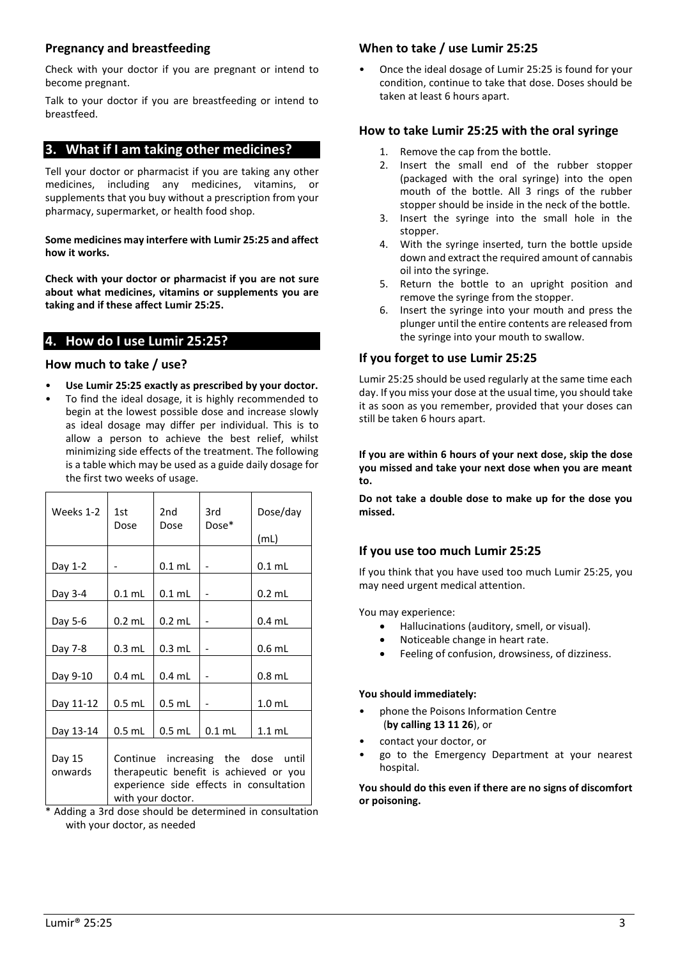## **Pregnancy and breastfeeding**

Check with your doctor if you are pregnant or intend to become pregnant.

Talk to your doctor if you are breastfeeding or intend to breastfeed.

# <span id="page-2-0"></span>**3. What if I am taking other medicines?**

Tell your doctor or pharmacist if you are taking any other medicines, including any medicines, vitamins, or supplements that you buy without a prescription from your pharmacy, supermarket, or health food shop.

**Some medicines may interfere with Lumir 25:25 and affect how it works.**

**Check with your doctor or pharmacist if you are not sure about what medicines, vitamins or supplements you are taking and if these affect Lumir 25:25.**

# <span id="page-2-1"></span>**4. How do I use Lumir 25:25?**

# **How much to take / use?**

- **Use Lumir 25:25 exactly as prescribed by your doctor.**
- To find the ideal dosage, it is highly recommended to begin at the lowest possible dose and increase slowly as ideal dosage may differ per individual. This is to allow a person to achieve the best relief, whilst minimizing side effects of the treatment. The following is a table which may be used as a guide daily dosage for the first two weeks of usage.

| Weeks 1-2                                               | 1st                                                                                                                     | 2 <sub>nd</sub><br>Dose | 3rd      | Dose/day          |
|---------------------------------------------------------|-------------------------------------------------------------------------------------------------------------------------|-------------------------|----------|-------------------|
|                                                         | Dose                                                                                                                    |                         | Dose*    | (mL)              |
| Day 1-2                                                 |                                                                                                                         | $0.1$ mL                |          | $0.1$ mL          |
|                                                         |                                                                                                                         |                         |          |                   |
| Day 3-4                                                 | $0.1$ mL                                                                                                                | $0.1$ mL                |          | $0.2$ mL          |
| Day 5-6                                                 | $0.2$ mL                                                                                                                | $0.2$ mL                |          | $0.4$ mL          |
| Day 7-8                                                 | $0.3$ mL                                                                                                                | $0.3$ mL                |          | $0.6$ mL          |
| Day 9-10                                                | $0.4$ mL                                                                                                                | $0.4$ mL                |          | $0.8$ mL          |
| Day 11-12                                               | $0.5$ mL                                                                                                                | $0.5$ mL                |          | 1.0 <sub>mL</sub> |
| Day 13-14                                               | $0.5$ mL                                                                                                                | $0.5$ mL                | $0.1$ mL | $1.1$ mL          |
| Day 15<br>onwards                                       | Continue increasing the dose until<br>therapeutic benefit is achieved or you<br>experience side effects in consultation |                         |          |                   |
| with your doctor.                                       |                                                                                                                         |                         |          |                   |
| * Adding a 3rd dose should be determined in consultatio |                                                                                                                         |                         |          |                   |

dding a 3rd dose should be determined in consultation with your doctor, as needed

# **When to take / use Lumir 25:25**

• Once the ideal dosage of Lumir 25:25 is found for your condition, continue to take that dose. Doses should be taken at least 6 hours apart.

# **How to take Lumir 25:25 with the oral syringe**

- 1. Remove the cap from the bottle.
- 2. Insert the small end of the rubber stopper (packaged with the oral syringe) into the open mouth of the bottle. All 3 rings of the rubber stopper should be inside in the neck of the bottle.
- 3. Insert the syringe into the small hole in the stopper.
- 4. With the syringe inserted, turn the bottle upside down and extract the required amount of cannabis oil into the syringe.
- 5. Return the bottle to an upright position and remove the syringe from the stopper.
- 6. Insert the syringe into your mouth and press the plunger until the entire contents are released from the syringe into your mouth to swallow.

# **If you forget to use Lumir 25:25**

Lumir 25:25 should be used regularly at the same time each day. If you miss your dose at the usual time, you should take it as soon as you remember, provided that your doses can still be taken 6 hours apart.

**If you are within 6 hours of your next dose, skip the dose you missed and take your next dose when you are meant to.**

**Do not take a double dose to make up for the dose you missed.**

# **If you use too much Lumir 25:25**

If you think that you have used too much Lumir 25:25, you may need urgent medical attention.

You may experience:

- Hallucinations (auditory, smell, or visual).
- Noticeable change in heart rate.
- Feeling of confusion, drowsiness, of dizziness.

# **You should immediately:**

- phone the Poisons Information Centre (**by calling 13 11 26**), or
- contact your doctor, or
- go to the Emergency Department at your nearest hospital.

**You should do this even if there are no signs of discomfort or poisoning.**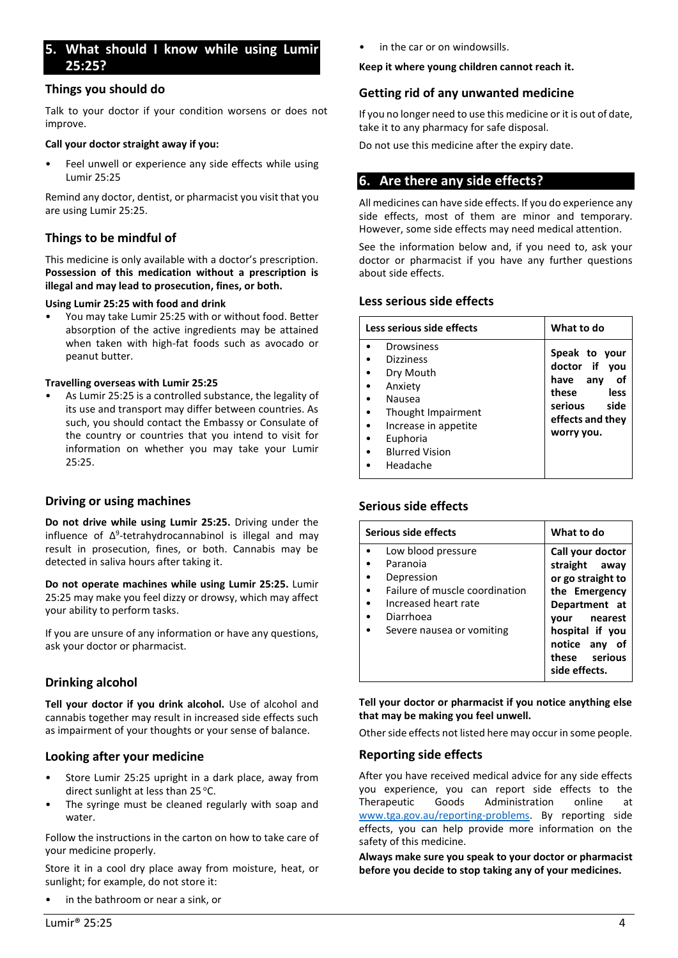# <span id="page-3-0"></span>**5. What should I know while using Lumir 25:25?**

### **Things you should do**

Talk to your doctor if your condition worsens or does not improve.

#### **Call your doctor straight away if you:**

Feel unwell or experience any side effects while using Lumir 25:25

Remind any doctor, dentist, or pharmacist you visit that you are using Lumir 25:25.

### **Things to be mindful of**

This medicine is only available with a doctor's prescription. **Possession of this medication without a prescription is illegal and may lead to prosecution, fines, or both.**

#### **Using Lumir 25:25 with food and drink**

• You may take Lumir 25:25 with or without food. Better absorption of the active ingredients may be attained when taken with high-fat foods such as avocado or peanut butter.

#### **Travelling overseas with Lumir 25:25**

• As Lumir 25:25 is a controlled substance, the legality of its use and transport may differ between countries. As such, you should contact the Embassy or Consulate of the country or countries that you intend to visit for information on whether you may take your Lumir 25:25.

### **Driving or using machines**

**Do not drive while using Lumir 25:25.** Driving under the influence of Δ<sup>9</sup>-tetrahydrocannabinol is illegal and may result in prosecution, fines, or both. Cannabis may be detected in saliva hours after taking it.

**Do not operate machines while using Lumir 25:25.** Lumir 25:25 may make you feel dizzy or drowsy, which may affect your ability to perform tasks.

If you are unsure of any information or have any questions, ask your doctor or pharmacist.

# **Drinking alcohol**

**Tell your doctor if you drink alcohol.** Use of alcohol and cannabis together may result in increased side effects such as impairment of your thoughts or your sense of balance.

## **Looking after your medicine**

- Store Lumir 25:25 upright in a dark place, away from direct sunlight at less than  $25^{\circ}$ C.
- The syringe must be cleaned regularly with soap and water.

Follow the instructions in the carton on how to take care of your medicine properly.

Store it in a cool dry place away from moisture, heat, or sunlight; for example, do not store it:

• in the bathroom or near a sink, or

in the car or on windowsills.

#### **Keep it where young children cannot reach it.**

### **Getting rid of any unwanted medicine**

If you no longer need to use this medicine or it is out of date, take it to any pharmacy for safe disposal.

Do not use this medicine after the expiry date.

# <span id="page-3-1"></span>**6. Are there any side effects?**

All medicines can have side effects. If you do experience any side effects, most of them are minor and temporary. However, some side effects may need medical attention.

See the information below and, if you need to, ask your doctor or pharmacist if you have any further questions about side effects.

### **Less serious side effects**

| Less serious side effects                                                                                                                                       | What to do                                                                                                                |
|-----------------------------------------------------------------------------------------------------------------------------------------------------------------|---------------------------------------------------------------------------------------------------------------------------|
| Drowsiness<br><b>Dizziness</b><br>Dry Mouth<br>Anxiety<br>Nausea<br>Thought Impairment<br>Increase in appetite<br>Euphoria<br><b>Blurred Vision</b><br>Headache | Speak to your<br>doctor if you<br>any<br>have<br>οf<br>these<br>less<br>side<br>serious<br>effects and they<br>worry you. |

## **Serious side effects**

| Serious side effects                                                                                                                             | What to do                                                                                                                                                          |
|--------------------------------------------------------------------------------------------------------------------------------------------------|---------------------------------------------------------------------------------------------------------------------------------------------------------------------|
| Low blood pressure<br>Paranoia<br>Depression<br>Failure of muscle coordination<br>Increased heart rate<br>Diarrhoea<br>Severe nausea or vomiting | Call your doctor<br>straight away<br>or go straight to<br>the Emergency<br>Department at<br>nearest<br>vour<br>hospital if you<br>notice any<br>οf<br>these serious |
|                                                                                                                                                  | side effects.                                                                                                                                                       |

**Tell your doctor or pharmacist if you notice anything else that may be making you feel unwell.**

Other side effects not listed here may occur in some people.

### **Reporting side effects**

After you have received medical advice for any side effects you experience, you can report side effects to the Therapeutic Goods Administration online at www.tga.gov.au/reporting-problems. By reporting side effects, you can help provide more information on the safety of this medicine.

**Always make sure you speak to your doctor or pharmacist before you decide to stop taking any of your medicines.**